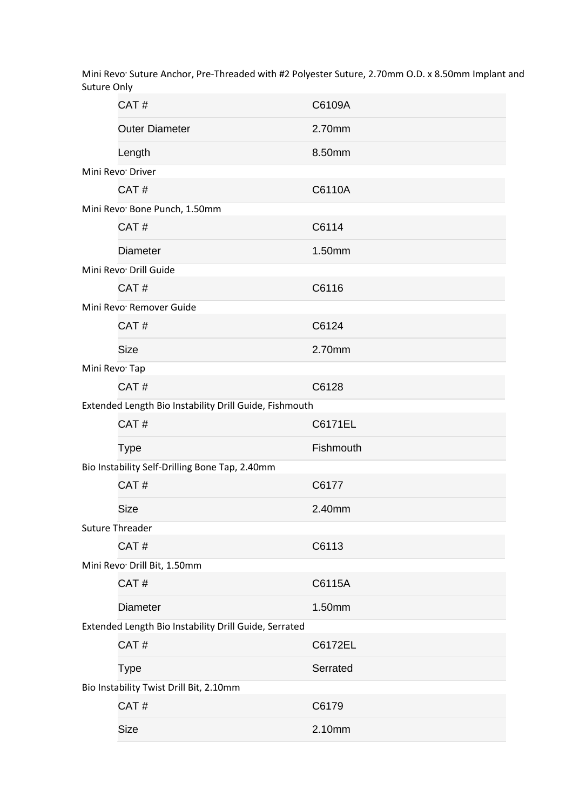Mini Revo Suture Anchor, Pre-Threaded with #2 Polyester Suture, 2.70mm O.D. x 8.50mm Implant and Suture Only

|                                                        | CAT#                                                  | C6109A    |  |  |
|--------------------------------------------------------|-------------------------------------------------------|-----------|--|--|
|                                                        | <b>Outer Diameter</b>                                 | 2.70mm    |  |  |
|                                                        | Length                                                | 8.50mm    |  |  |
|                                                        | Mini Revo <sup>®</sup> Driver                         |           |  |  |
|                                                        | CAT#                                                  | C6110A    |  |  |
|                                                        | Mini Revo <sup>®</sup> Bone Punch, 1.50mm             |           |  |  |
|                                                        | CAT#                                                  | C6114     |  |  |
|                                                        | <b>Diameter</b>                                       | 1.50mm    |  |  |
|                                                        | Mini Revo <sup>®</sup> Drill Guide                    |           |  |  |
|                                                        | CAT#                                                  | C6116     |  |  |
|                                                        | Mini Revo <sup>®</sup> Remover Guide                  |           |  |  |
|                                                        | CAT#                                                  | C6124     |  |  |
|                                                        | <b>Size</b>                                           | 2.70mm    |  |  |
| Mini Revo <sup>®</sup> Tap                             |                                                       |           |  |  |
|                                                        | CAT#                                                  | C6128     |  |  |
| Extended Length Bio Instability Drill Guide, Fishmouth |                                                       |           |  |  |
|                                                        | CAT#                                                  | C6171EL   |  |  |
|                                                        | <b>Type</b>                                           | Fishmouth |  |  |
| Bio Instability Self-Drilling Bone Tap, 2.40mm         |                                                       |           |  |  |
|                                                        |                                                       |           |  |  |
|                                                        | CAT#                                                  | C6177     |  |  |
|                                                        | <b>Size</b>                                           | 2.40mm    |  |  |
|                                                        | <b>Suture Threader</b>                                |           |  |  |
|                                                        | CAT#                                                  | C6113     |  |  |
|                                                        | Mini Revo <sup>®</sup> Drill Bit, 1.50mm              |           |  |  |
|                                                        | CAT#                                                  | C6115A    |  |  |
|                                                        | <b>Diameter</b>                                       | 1.50mm    |  |  |
|                                                        | Extended Length Bio Instability Drill Guide, Serrated |           |  |  |
|                                                        | CAT#                                                  | C6172EL   |  |  |
|                                                        | <b>Type</b>                                           | Serrated  |  |  |
|                                                        | Bio Instability Twist Drill Bit, 2.10mm               |           |  |  |
|                                                        | CAT#                                                  | C6179     |  |  |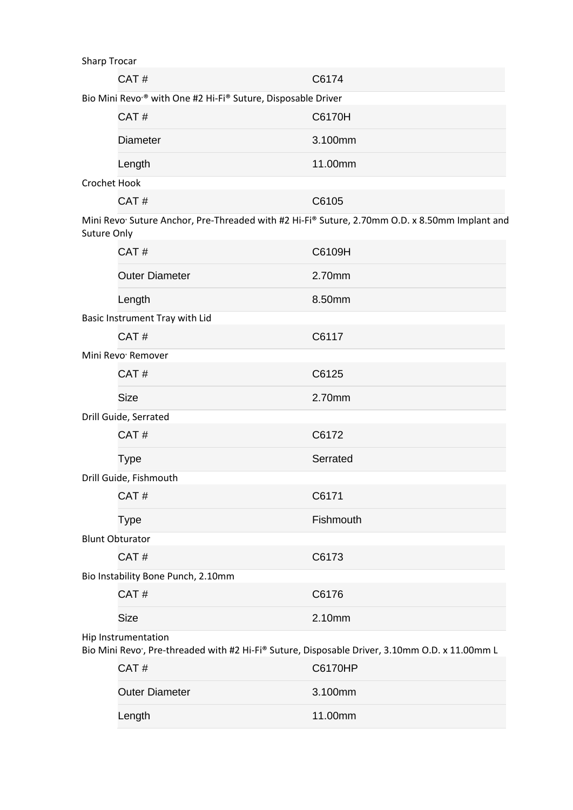| onarp rrocar                                                                                                 |                                                                                                                                              |           |  |  |
|--------------------------------------------------------------------------------------------------------------|----------------------------------------------------------------------------------------------------------------------------------------------|-----------|--|--|
|                                                                                                              | CAT#                                                                                                                                         | C6174     |  |  |
|                                                                                                              | Bio Mini Revo <sup>®</sup> with One #2 Hi-Fi® Suture, Disposable Driver                                                                      |           |  |  |
|                                                                                                              | CAT#                                                                                                                                         | C6170H    |  |  |
|                                                                                                              | <b>Diameter</b>                                                                                                                              | 3.100mm   |  |  |
|                                                                                                              | Length                                                                                                                                       | 11.00mm   |  |  |
| Crochet Hook                                                                                                 |                                                                                                                                              |           |  |  |
|                                                                                                              | CAT#                                                                                                                                         | C6105     |  |  |
| Mini Revo Suture Anchor, Pre-Threaded with #2 Hi-Fi® Suture, 2.70mm O.D. x 8.50mm Implant and<br>Suture Only |                                                                                                                                              |           |  |  |
|                                                                                                              | CAT#                                                                                                                                         | C6109H    |  |  |
|                                                                                                              | <b>Outer Diameter</b>                                                                                                                        | 2.70mm    |  |  |
|                                                                                                              | Length                                                                                                                                       | 8.50mm    |  |  |
|                                                                                                              | Basic Instrument Tray with Lid                                                                                                               |           |  |  |
|                                                                                                              | CAT#                                                                                                                                         | C6117     |  |  |
|                                                                                                              | Mini Revo <sup>®</sup> Remover                                                                                                               |           |  |  |
|                                                                                                              | CAT#                                                                                                                                         | C6125     |  |  |
|                                                                                                              | <b>Size</b>                                                                                                                                  | 2.70mm    |  |  |
| Drill Guide, Serrated                                                                                        |                                                                                                                                              |           |  |  |
|                                                                                                              | CAT#                                                                                                                                         | C6172     |  |  |
|                                                                                                              | <b>Type</b>                                                                                                                                  | Serrated  |  |  |
| Drill Guide, Fishmouth                                                                                       |                                                                                                                                              |           |  |  |
|                                                                                                              | CAT#                                                                                                                                         | C6171     |  |  |
|                                                                                                              | <b>Type</b>                                                                                                                                  | Fishmouth |  |  |
|                                                                                                              | <b>Blunt Obturator</b>                                                                                                                       |           |  |  |
|                                                                                                              | CAT#                                                                                                                                         | C6173     |  |  |
|                                                                                                              | Bio Instability Bone Punch, 2.10mm                                                                                                           |           |  |  |
|                                                                                                              | CAT#                                                                                                                                         | C6176     |  |  |
|                                                                                                              | <b>Size</b>                                                                                                                                  | 2.10mm    |  |  |
|                                                                                                              | Hip Instrumentation                                                                                                                          |           |  |  |
|                                                                                                              | Bio Mini Revo <sup>*</sup> , Pre-threaded with #2 Hi-Fi® Suture, Disposable Driver, 3.10mm O.D. x 11.00mm L<br>$\bigcap$ $\bigcap$ $\bigcup$ | C2470H    |  |  |
|                                                                                                              |                                                                                                                                              |           |  |  |

| CAT#                  | C6170HP |
|-----------------------|---------|
| <b>Outer Diameter</b> | 3.100mm |
| Length                | 11.00mm |